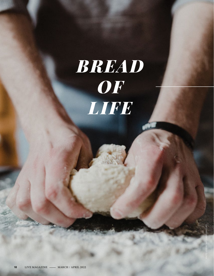# *BREAD OF LIFE*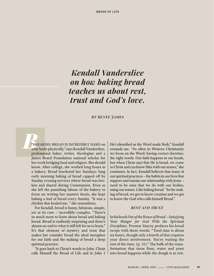## *Kendall Vanderslice on how baking bread teaches us about rest, trust and God's love.*

#### *BY RENEE JAMES*

BREAKING BREAD IS INCREDIBLY HARD on your body physically," says Kendall Vanderslice, professional baker, writer, theologian and a James Beard Foundation national scholar for her work bridging food and religion. She should know. After college, she worked long hours in a bakery. Bread bracketed her Sundays; long early morning baking of bread capped off by Sunday evening services where bread was broken and shared during Communion. Even as she left the punishing labour of the bakery to focus on writing her masters thesis, she kept baking a loaf of bread every Sunday. "It was a rhythm that healed me, " she remembers.

For Kendall, bread is funny, fabulous, simple, yet at its core – incredibly complex. "There's so much more to learn about bread and baking bread. Bread is endlessly surprising and there's almost no end to what it still left for us to learn." It's that element of mystery and trust that makes her consider bread the ideal metaphor for our faith and the making of bread a deep spiritual practice.

"It goes back to Christ's words to John. Christ calls Himself the Bread of Life and in John 1 He's identified as the Word made flesh," Kendall reminds me. "So often in Western Christianity we focus on the Word; having correct doctrine; the right words. Our faith happens in our heads, but when Christ says that He is bread, we come to Christ and can know Him with our senses," she continues. In fact, Kendall believes that many of our spiritual practices – the habits in our lives that support and sustain our relationship with Jesus – need to be ones that we do with our bodies, using our senses. Like baking bread. "In the making of bread, we get to know creation and we get to know the God who calls himself Bread."

#### *REST AND TRUST*

In his book *Out of the House of Bread – Satisfying Your Hunger for God With the Spiritual Disciplines,* Preston Yancey prefaces his bread recipe with these words: "Total time is about six hours, though only a fourth of that requires your direct involvement. You're waiting the rest of the time. (p. 31)." The bulk of the transformation that turns flour, water and yeast into bread happens while the dough is at rest.